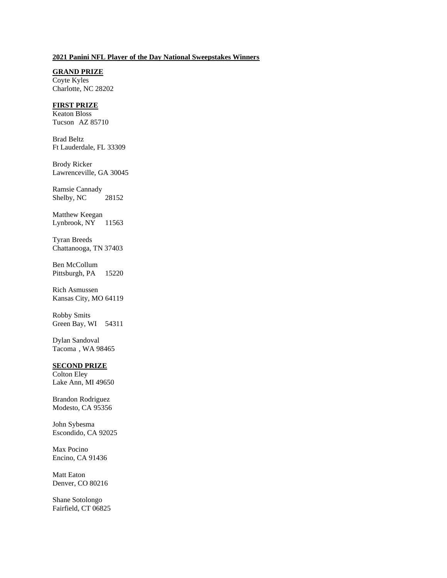## **2021 Panini NFL Player of the Day National Sweepstakes Winners**

**GRAND PRIZE** Coyte Kyles Charlotte, NC 28202

## **FIRST PRIZE**

Keaton Bloss Tucson AZ 85710

Brad Beltz Ft Lauderdale, FL 33309

Brody Ricker Lawrenceville, GA 30045

Ramsie Cannady Shelby, NC 28152

Matthew Keegan Lynbrook, NY 11563

Tyran Breeds Chattanooga, TN 37403

Ben McCollum Pittsburgh, PA 15220

Rich Asmussen Kansas City, MO 64119

Robby Smits Green Bay, WI 54311

Dylan Sandoval Tacoma , WA 98465

## **SECOND PRIZE**

Colton Eley Lake Ann, MI 49650

Brandon Rodriguez Modesto, CA 95356

John Sybesma Escondido, CA 92025

Max Pocino Encino, CA 91436

Matt Eaton Denver, CO 80216

Shane Sotolongo Fairfield, CT 06825